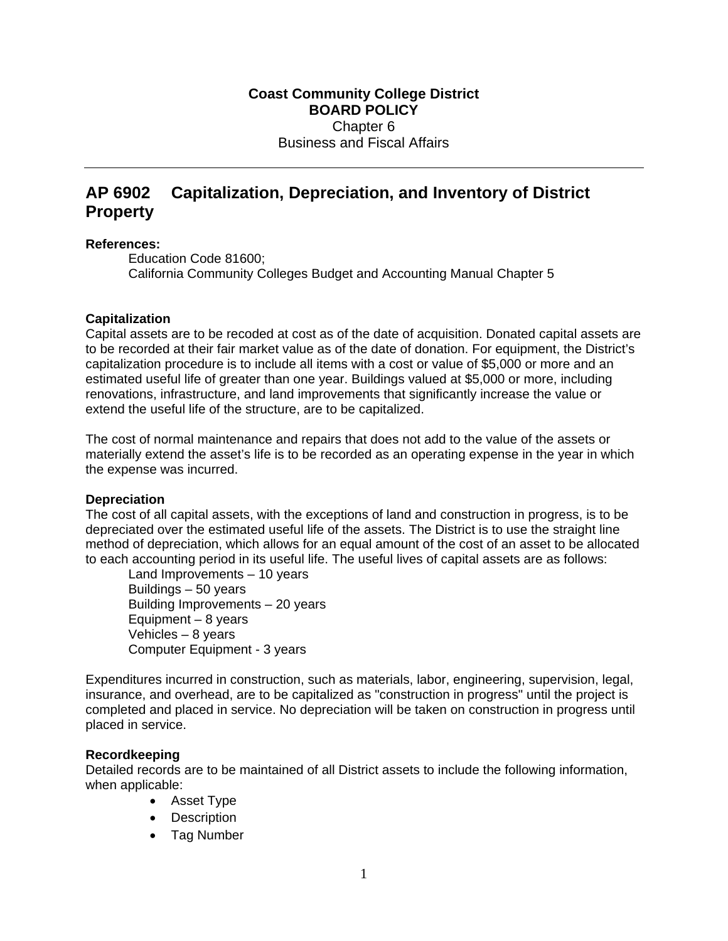# **AP 6902 Capitalization, Depreciation, and Inventory of District Property**

#### **References:**

Education Code 81600; California Community Colleges Budget and Accounting Manual Chapter 5

## **Capitalization**

Capital assets are to be recoded at cost as of the date of acquisition. Donated capital assets are to be recorded at their fair market value as of the date of donation. For equipment, the District's capitalization procedure is to include all items with a cost or value of \$5,000 or more and an estimated useful life of greater than one year. Buildings valued at \$5,000 or more, including renovations, infrastructure, and land improvements that significantly increase the value or extend the useful life of the structure, are to be capitalized.

The cost of normal maintenance and repairs that does not add to the value of the assets or materially extend the asset's life is to be recorded as an operating expense in the year in which the expense was incurred.

## **Depreciation**

The cost of all capital assets, with the exceptions of land and construction in progress, is to be depreciated over the estimated useful life of the assets. The District is to use the straight line method of depreciation, which allows for an equal amount of the cost of an asset to be allocated to each accounting period in its useful life. The useful lives of capital assets are as follows:

 Land Improvements – 10 years Buildings – 50 years Building Improvements – 20 years Equipment – 8 years Vehicles – 8 years Computer Equipment - 3 years

Expenditures incurred in construction, such as materials, labor, engineering, supervision, legal, insurance, and overhead, are to be capitalized as "construction in progress" until the project is completed and placed in service. No depreciation will be taken on construction in progress until placed in service.

## **Recordkeeping**

Detailed records are to be maintained of all District assets to include the following information, when applicable:

- Asset Type
- Description
- Tag Number